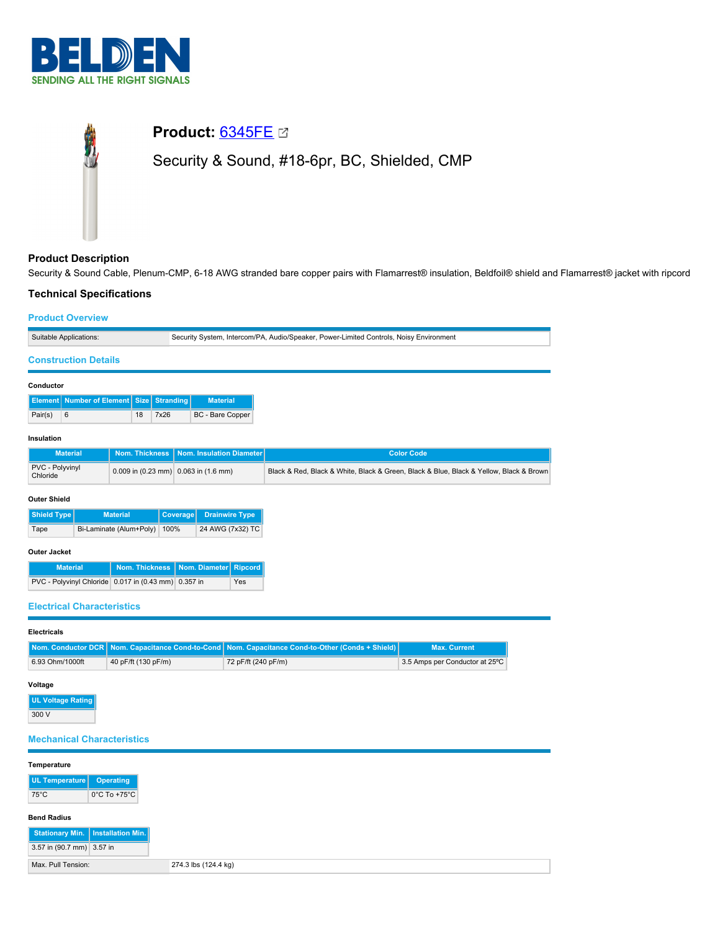

# **Product:** [6345FE](https://catalog.belden.com/index.cfm?event=pd&p=PF_6345FE&tab=downloads) Security & Sound, #18-6pr, BC, Shielded, CMP

# **Product Description**

Security & Sound Cable, Plenum-CMP, 6-18 AWG stranded bare copper pairs with Flamarrest® insulation, Beldfoil® shield and Flamarrest® jacket with ripcord

# **Technical Specifications**

划

## **Product Overview**

| Suitable Applications:                                  |                 |    |          |                                                          | Security System, Intercom/PA, Audio/Speaker, Power-Limited Controls, Noisy Environment |  |
|---------------------------------------------------------|-----------------|----|----------|----------------------------------------------------------|----------------------------------------------------------------------------------------|--|
| <b>Construction Details</b>                             |                 |    |          |                                                          |                                                                                        |  |
| Conductor                                               |                 |    |          |                                                          |                                                                                        |  |
| <b>Element   Number of Element   Size   Stranding  </b> |                 |    |          | <b>Material</b>                                          |                                                                                        |  |
| 6<br>Pair(s)                                            |                 | 18 | 7x26     | BC - Bare Copper                                         |                                                                                        |  |
| Insulation                                              |                 |    |          |                                                          |                                                                                        |  |
| <b>Material</b>                                         |                 |    |          | Nom. Thickness   Nom. Insulation Diameter                | <b>Color Code</b>                                                                      |  |
| PVC - Polyvinyl<br>Chloride                             |                 |    |          | 0.009 in $(0.23 \text{ mm})$ 0.063 in $(1.6 \text{ mm})$ | Black & Red, Black & White, Black & Green, Black & Blue, Black & Yellow, Black & Brown |  |
| <b>Outer Shield</b>                                     |                 |    |          |                                                          |                                                                                        |  |
| <b>Shield Type</b>                                      | <b>Material</b> |    | Coverage | <b>Drainwire Type</b>                                    |                                                                                        |  |

| Tape | Bi-Laminate (Alum+Poly) 100% | 24 AWG (7x32) TC |
|------|------------------------------|------------------|
|      |                              |                  |

## **Outer Jacket**

| <b>Material</b>                                      | Nom. Thickness   Nom. Diameter   Ripcord |     |
|------------------------------------------------------|------------------------------------------|-----|
| PVC - Polyvinyl Chloride 0.017 in (0.43 mm) 0.357 in |                                          | Yes |

## **Electrical Characteristics**

#### **Electricals**

|                 |                     | Nom, Conductor DCR Nom, Capacitance Cond-to-Cond Nom, Capacitance Cond-to-Other (Conds + Shield) | <b>Max. Current</b>            |
|-----------------|---------------------|--------------------------------------------------------------------------------------------------|--------------------------------|
| 6.93 Ohm/1000ft | 40 pF/ft (130 pF/m) | 72 pF/ft (240 pF/m)                                                                              | 3.5 Amps per Conductor at 25°C |

### **Voltage**

**UL Voltage Rating** 300 V

# **Mechanical Characteristics**

| Temperature               |                                     |
|---------------------------|-------------------------------------|
| UL Temperature            | Operating                           |
| $75^{\circ}$ C            | $0^{\circ}$ C To +75 $^{\circ}$ C   |
|                           |                                     |
| <b>Bend Radius</b>        |                                     |
|                           | Stationary Min.   Installation Min. |
| 3.57 in (90.7 mm) 3.57 in |                                     |
| Max, Pull Tension:        |                                     |